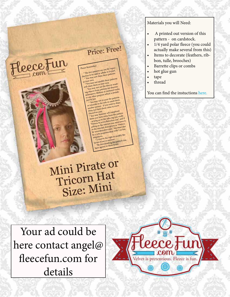## Price: Free!

## Please Remember:

Fleece Fun

7 TTTU

 \* The free patterns are not for reprothe true patterns are not to be sold in whole or in part. **ELION** W De SOLU IN WHOLE OF THE PAPE.

\*You may not modify these patterns<br>\*You may not modify these patterns<br>and claim them as your own<br>and claim the not use the files of becene

\*You may not use the files or result-<br>
md claim them as your own<br>
\*You may not use the files or obscene,<br>
ing objects from patterns for immoral work<br>
ing objects the helous or immoral work Xou may comp patterns to compare which is prohib-<br>defamatory, libelous or immoral works<br>or any other purpose which is prohib-<br>or any other purpose

ited by law.<br>You may not re-post the patterns r any or<br>
\* You may not re-post the patterns<br>
\* You may not re-post or email them<br>
or tutorials to the web or email to share<br>
another person - if you want to share<br>
another person them come to www.

anyous Persons and Come to www.<br>them just have them come to www.<br>FleeceFun.com<br>\* You may however sell completed FleeceFun.com hem just<br>items you may however sell completed<br>
items you have sewn from the pattern<br>
items you have sewn from the sales tag you credit<br>
as long as on the sales tag you credit<br>
"pattern by www.fleecefun.com" and the<br>
"patte as long as<br>
pattern by www.fleecefultion as "Pattern<br>
selling on the internet description as "Pattern<br>
in the internet description as "Du must also<br>
in the internet comme of the internet by<br>
by www.fleecefun.com", You must be a sole proprietorship with 3 or less

be a sole  $f^2$ .<br>
empolyees.<br>
\* I reserve the right to modify the<br>  $\frac{f^2}{f^2}$  reserve the right to modify the

\*1 reserved anytime<br>terms of use at anytime<br>\*By downloading this pattern you by non-moderate these terms.

Mini Pirate or Tricorn Hat Size: Mini

Your ad could be here contact angel@ fleecefun.com for details



## Materials you will Need:

- A printed out version of this pattern - on cardstock.
- 1/4 yard polar fleece (you could actually make several from this)
- Items to decorate (feathers, ribbon, tulle, brooches)
- Barrette clips or combs
- hot glue gun
- tape
- thread

You can find the instuctions here.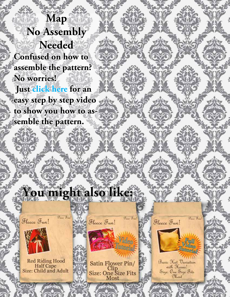**Map No Assembly Needed Confused on how to assemble the pattern? No worries!**

 **Just click here for an easy step by step video to show you how to assemble the pattern.**

## You might also like: